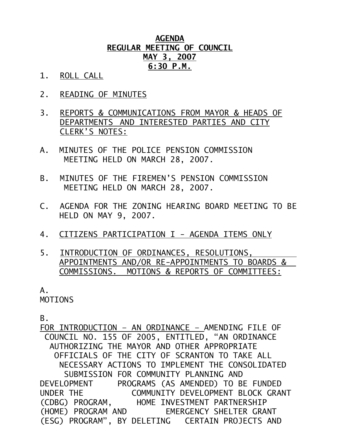## **AGENDA REGULAR MEETING OF COUNCIL MAY 3, 2007 6:30 P.M.**

- 1. ROLL CALL
- 2. READING OF MINUTES
- 3. REPORTS & COMMUNICATIONS FROM MAYOR & HEADS OF DEPARTMENTS AND INTERESTED PARTIES AND CITY CLERK'S NOTES:
- A. MINUTES OF THE POLICE PENSION COMMISSION MEETING HELD ON MARCH 28, 2007.
- B. MINUTES OF THE FIREMEN'S PENSION COMMISSION MEETING HELD ON MARCH 28, 2007.
- C. AGENDA FOR THE ZONING HEARING BOARD MEETING TO BE HELD ON MAY 9, 2007.
- 4. CITIZENS PARTICIPATION I AGENDA ITEMS ONLY
- 5. INTRODUCTION OF ORDINANCES, RESOLUTIONS, APPOINTMENTS AND/OR RE-APPOINTMENTS TO BOARDS & COMMISSIONS. MOTIONS & REPORTS OF COMMITTEES:

 $A<sub>-</sub>$ MOTIONS

B.

FOR INTRODUCTION – AN ORDINANCE – AMENDING FILE OF COUNCIL NO. 155 OF 2005, ENTITLED, "AN ORDINANCE AUTHORIZING THE MAYOR AND OTHER APPROPRIATE OFFICIALS OF THE CITY OF SCRANTON TO TAKE ALL NECESSARY ACTIONS TO IMPLEMENT THE CONSOLIDATED SUBMISSION FOR COMMUNITY PLANNING AND DEVELOPMENT PROGRAMS (AS AMENDED) TO BE FUNDED UNDER THE COMMUNITY DEVELOPMENT BLOCK GRANT (CDBG) PROGRAM, HOME INVESTMENT PARTNERSHIP (HOME) PROGRAM AND EMERGENCY SHELTER GRANT (ESG) PROGRAM", BY DELETING CERTAIN PROJECTS AND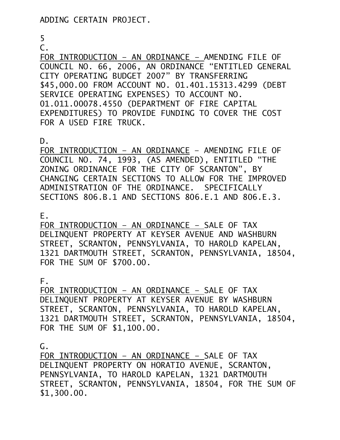5

### C.

FOR INTRODUCTION – AN ORDINANCE – AMENDING FILE OF COUNCIL NO. 66, 2006, AN ORDINANCE "ENTITLED GENERAL CITY OPERATING BUDGET 2007" BY TRANSFERRING \$45,000.00 FROM ACCOUNT NO. 01.401.15313.4299 (DEBT SERVICE OPERATING EXPENSES) TO ACCOUNT NO. 01.011.00078.4550 (DEPARTMENT OF FIRE CAPITAL EXPENDITURES) TO PROVIDE FUNDING TO COVER THE COST FOR A USED FIRE TRUCK.

D.

FOR INTRODUCTION – AN ORDINANCE – AMENDING FILE OF COUNCIL NO. 74, 1993, (AS AMENDED), ENTITLED "THE ZONING ORDINANCE FOR THE CITY OF SCRANTON", BY CHANGING CERTAIN SECTIONS TO ALLOW FOR THE IMPROVED ADMINISTRATION OF THE ORDINANCE. SPECIFICALLY SECTIONS 806.B.1 AND SECTIONS 806.E.1 AND 806.E.3.

E.

FOR INTRODUCTION – AN ORDINANCE – SALE OF TAX DELINQUENT PROPERTY AT KEYSER AVENUE AND WASHBURN STREET, SCRANTON, PENNSYLVANIA, TO HAROLD KAPELAN, 1321 DARTMOUTH STREET, SCRANTON, PENNSYLVANIA, 18504, FOR THE SUM OF \$700.00.

F.

FOR INTRODUCTION – AN ORDINANCE – SALE OF TAX DELINQUENT PROPERTY AT KEYSER AVENUE BY WASHBURN STREET, SCRANTON, PENNSYLVANIA, TO HAROLD KAPELAN, 1321 DARTMOUTH STREET, SCRANTON, PENNSYLVANIA, 18504, FOR THE SUM OF \$1,100.00.

 $G<sub>z</sub>$ 

FOR INTRODUCTION – AN ORDINANCE – SALE OF TAX DELINQUENT PROPERTY ON HORATIO AVENUE, SCRANTON, PENNSYLVANIA, TO HAROLD KAPELAN, 1321 DARTMOUTH STREET, SCRANTON, PENNSYLVANIA, 18504, FOR THE SUM OF \$1,300.00.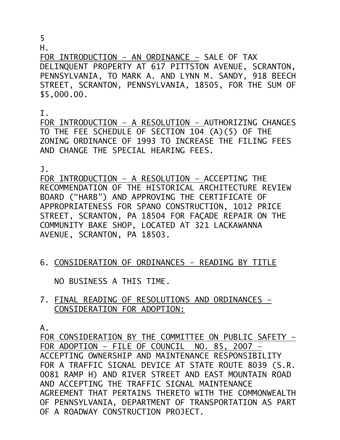5

H.

FOR INTRODUCTION – AN ORDINANCE – SALE OF TAX DELINQUENT PROPERTY AT 617 PITTSTON AVENUE, SCRANTON, PENNSYLVANIA, TO MARK A. AND LYNN M. SANDY, 918 BEECH STREET, SCRANTON, PENNSYLVANIA, 18505, FOR THE SUM OF \$5,000.00.

#### I.

FOR INTRODUCTION – A RESOLUTION – AUTHORIZING CHANGES TO THE FEE SCHEDULE OF SECTION 104 (A)(5) OF THE ZONING ORDINANCE OF 1993 TO INCREASE THE FILING FEES AND CHANGE THE SPECIAL HEARING FEES.

J.

FOR INTRODUCTION – A RESOLUTION – ACCEPTING THE RECOMMENDATION OF THE HISTORICAL ARCHITECTURE REVIEW BOARD ("HARB") AND APPROVING THE CERTIFICATE OF APPROPRIATENESS FOR SPANO CONSTRUCTION, 1012 PRICE STREET, SCRANTON, PA 18504 FOR FAÇADE REPAIR ON THE COMMUNITY BAKE SHOP, LOCATED AT 321 LACKAWANNA AVENUE, SCRANTON, PA 18503.

6. CONSIDERATION OF ORDINANCES – READING BY TITLE

NO BUSINESS A THIS TIME.

7. FINAL READING OF RESOLUTIONS AND ORDINANCES – CONSIDERATION FOR ADOPTION:

A.

FOR CONSIDERATION BY THE COMMITTEE ON PUBLIC SAFETY – FOR ADOPTION – FILE OF COUNCIL NO. 85, 2007 – ACCEPTING OWNERSHIP AND MAINTENANCE RESPONSIBILITY FOR A TRAFFIC SIGNAL DEVICE AT STATE ROUTE 8039 (S.R. 0081 RAMP H) AND RIVER STREET AND EAST MOUNTAIN ROAD AND ACCEPTING THE TRAFFIC SIGNAL MAINTENANCE AGREEMENT THAT PERTAINS THERETO WITH THE COMMONWEALTH OF PENNSYLVANIA, DEPARTMENT OF TRANSPORTATION AS PART OF A ROADWAY CONSTRUCTION PROJECT.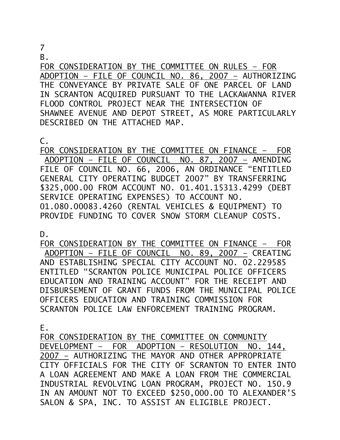# 7

B.

FOR CONSIDERATION BY THE COMMITTEE ON RULES – FOR ADOPTION – FILE OF COUNCIL NO. 86, 2007 – AUTHORIZING THE CONVEYANCE BY PRIVATE SALE OF ONE PARCEL OF LAND IN SCRANTON ACQUIRED PURSUANT TO THE LACKAWANNA RIVER FLOOD CONTROL PROJECT NEAR THE INTERSECTION OF SHAWNEE AVENUE AND DEPOT STREET, AS MORE PARTICULARLY DESCRIBED ON THE ATTACHED MAP.

C.

FOR CONSIDERATION BY THE COMMITTEE ON FINANCE – FOR ADOPTION – FILE OF COUNCIL NO. 87, 2007 – AMENDING FILE OF COUNCIL NO. 66, 2006, AN ORDINANCE "ENTITLED GENERAL CITY OPERATING BUDGET 2007" BY TRANSFERRING \$325,000.00 FROM ACCOUNT NO. 01.401.15313.4299 (DEBT SERVICE OPERATING EXPENSES) TO ACCOUNT NO. 01.080.00083.4260 (RENTAL VEHICLES & EQUIPMENT) TO PROVIDE FUNDING TO COVER SNOW STORM CLEANUP COSTS.

D.

FOR CONSIDERATION BY THE COMMITTEE ON FINANCE – FOR ADOPTION – FILE OF COUNCIL NO. 89, 2007 – CREATING AND ESTABLISHING SPECIAL CITY ACCOUNT NO. 02.229585 ENTITLED "SCRANTON POLICE MUNICIPAL POLICE OFFICERS EDUCATION AND TRAINING ACCOUNT" FOR THE RECEIPT AND DISBURSEMENT OF GRANT FUNDS FROM THE MUNICIPAL POLICE OFFICERS EDUCATION AND TRAINING COMMISSION FOR SCRANTON POLICE LAW ENFORCEMENT TRAINING PROGRAM.

E.

FOR CONSIDERATION BY THE COMMITTEE ON COMMUNITY DEVELOPMENT – FOR ADOPTION – RESOLUTION NO. 144, 2007 – AUTHORIZING THE MAYOR AND OTHER APPROPRIATE CITY OFFICIALS FOR THE CITY OF SCRANTON TO ENTER INTO A LOAN AGREEMENT AND MAKE A LOAN FROM THE COMMERCIAL INDUSTRIAL REVOLVING LOAN PROGRAM, PROJECT NO. 150.9 IN AN AMOUNT NOT TO EXCEED \$250,000.00 TO ALEXANDER'S SALON & SPA, INC. TO ASSIST AN ELIGIBLE PROJECT.